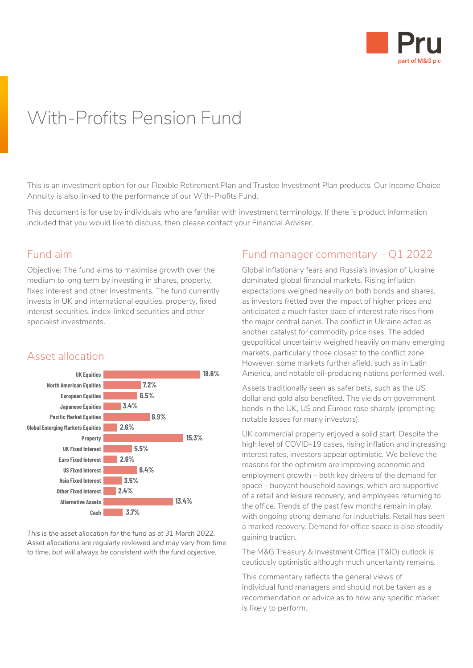

# With-Profits Pension Fund

This is an investment option for our Flexible Retirement Plan and Trustee Investment Plan products. Our Income Choice Annuity is also linked to the performance of our With-Profits Fund.

This document is for use by individuals who are familiar with investment terminology. If there is product information included that you would like to discuss, then please contact your Financial Adviser.

### Fund aim

Objective: The fund aims to maximise growth over the medium to long term by investing in shares, property, fixed interest and other investments. The fund currently invests in UK and international equities, property, fixed interest securities, index-linked securities and other specialist investments.



# Asset allocation

*Asset allocations are regularly reviewed and may vary from time to time, but will always be consistent with the fund objective.* 

# Fund manager commentary – Q1 2022

Global inflationary fears and Russia's invasion of Ukraine dominated global financial markets. Rising inflation expectations weighed heavily on both bonds and shares, as investors fretted over the impact of higher prices and anticipated a much faster pace of interest rate rises from the major central banks. The conflict in Ukraine acted as another catalyst for commodity price rises. The added geopolitical uncertainty weighed heavily on many emerging markets, particularly those closest to the conflict zone. However, some markets further afield, such as in Latin America, and notable oil-producing nations performed well.

Assets traditionally seen as safer bets, such as the US dollar and gold also benefited. The yields on government bonds in the UK, US and Europe rose sharply (prompting notable losses for many investors).

UK commercial property enjoyed a solid start. Despite the high level of COVID-19 cases, rising inflation and increasing interest rates, investors appear optimistic. We believe the reasons for the optimism are improving economic and employment growth – both key drivers of the demand for space – buoyant household savings, which are supportive of a retail and leisure recovery, and employees returning to the office. Trends of the past few months remain in play, with ongoing strong demand for industrials. Retail has seen a marked recovery. Demand for office space is also steadily gaining traction.

The M&G Treasury & Investment Office (T&IO) outlook is cautiously optimistic although much uncertainty remains.

This commentary reflects the general views of individual fund managers and should not be taken as a recommendation or advice as to how any specific market is likely to perform.